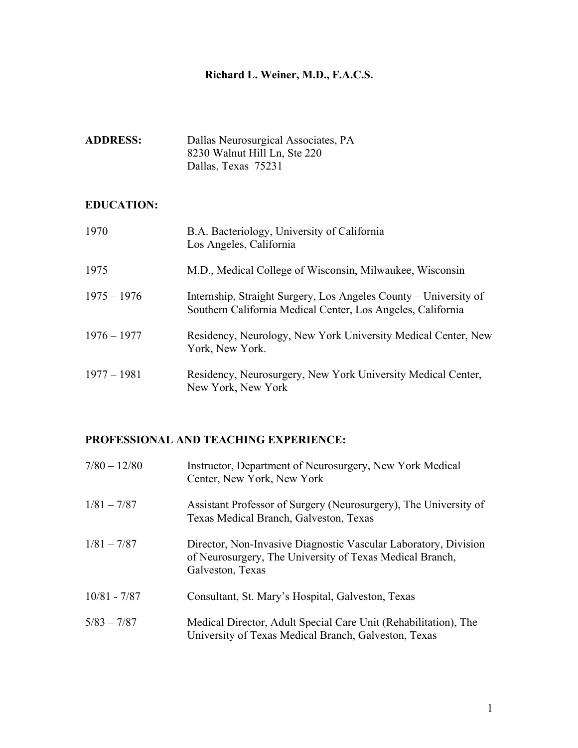# **Richard L. Weiner, M.D., F.A.C.S.**

| <b>ADDRESS:</b> | Dallas Neurosurgical Associates, PA |
|-----------------|-------------------------------------|
|                 | 8230 Walnut Hill Ln, Ste 220        |
|                 | Dallas, Texas 75231                 |

## **EDUCATION:**

| 1970          | B.A. Bacteriology, University of California<br>Los Angeles, California                                                          |
|---------------|---------------------------------------------------------------------------------------------------------------------------------|
| 1975          | M.D., Medical College of Wisconsin, Milwaukee, Wisconsin                                                                        |
| $1975 - 1976$ | Internship, Straight Surgery, Los Angeles County – University of<br>Southern California Medical Center, Los Angeles, California |
| $1976 - 1977$ | Residency, Neurology, New York University Medical Center, New<br>York, New York.                                                |
| $1977 - 1981$ | Residency, Neurosurgery, New York University Medical Center,<br>New York, New York                                              |

## **PROFESSIONAL AND TEACHING EXPERIENCE:**

| $7/80 - 12/80$ | Instructor, Department of Neurosurgery, New York Medical<br>Center, New York, New York                                                          |
|----------------|-------------------------------------------------------------------------------------------------------------------------------------------------|
| $1/81 - 7/87$  | Assistant Professor of Surgery (Neurosurgery), The University of<br>Texas Medical Branch, Galveston, Texas                                      |
| $1/81 - 7/87$  | Director, Non-Invasive Diagnostic Vascular Laboratory, Division<br>of Neurosurgery, The University of Texas Medical Branch,<br>Galveston, Texas |
| $10/81 - 7/87$ | Consultant, St. Mary's Hospital, Galveston, Texas                                                                                               |
| $5/83 - 7/87$  | Medical Director, Adult Special Care Unit (Rehabilitation), The<br>University of Texas Medical Branch, Galveston, Texas                         |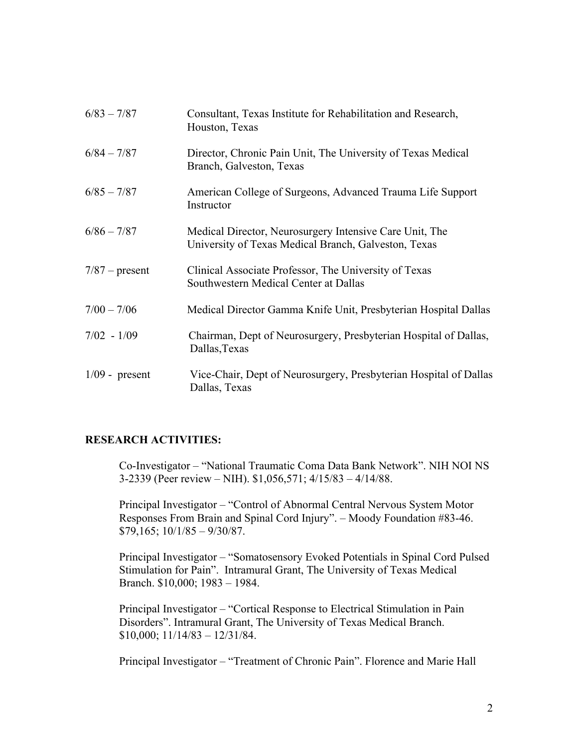| $6/83 - 7/87$    | Consultant, Texas Institute for Rehabilitation and Research,<br>Houston, Texas                                  |
|------------------|-----------------------------------------------------------------------------------------------------------------|
| $6/84 - 7/87$    | Director, Chronic Pain Unit, The University of Texas Medical<br>Branch, Galveston, Texas                        |
| $6/85 - 7/87$    | American College of Surgeons, Advanced Trauma Life Support<br>Instructor                                        |
| $6/86 - 7/87$    | Medical Director, Neurosurgery Intensive Care Unit, The<br>University of Texas Medical Branch, Galveston, Texas |
| $7/87$ – present | Clinical Associate Professor, The University of Texas<br>Southwestern Medical Center at Dallas                  |
| $7/00 - 7/06$    | Medical Director Gamma Knife Unit, Presbyterian Hospital Dallas                                                 |
| $7/02 - 1/09$    | Chairman, Dept of Neurosurgery, Presbyterian Hospital of Dallas,<br>Dallas, Texas                               |
| $1/09$ - present | Vice-Chair, Dept of Neurosurgery, Presbyterian Hospital of Dallas<br>Dallas, Texas                              |

## **RESEARCH ACTIVITIES:**

Co-Investigator – "National Traumatic Coma Data Bank Network". NIH NOI NS 3-2339 (Peer review – NIH). \$1,056,571; 4/15/83 – 4/14/88.

Principal Investigator – "Control of Abnormal Central Nervous System Motor Responses From Brain and Spinal Cord Injury". – Moody Foundation #83-46. \$79,165; 10/1/85 – 9/30/87.

Principal Investigator – "Somatosensory Evoked Potentials in Spinal Cord Pulsed Stimulation for Pain". Intramural Grant, The University of Texas Medical Branch. \$10,000; 1983 – 1984.

Principal Investigator – "Cortical Response to Electrical Stimulation in Pain Disorders". Intramural Grant, The University of Texas Medical Branch. \$10,000; 11/14/83 – 12/31/84.

Principal Investigator – "Treatment of Chronic Pain". Florence and Marie Hall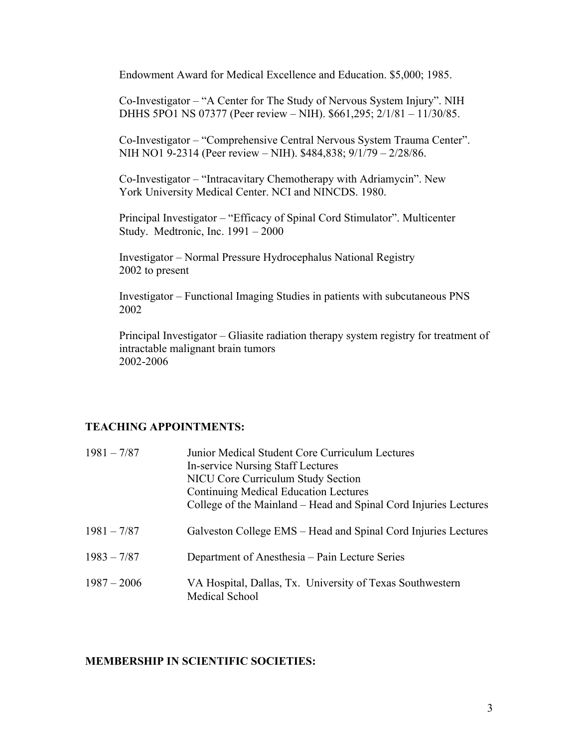Endowment Award for Medical Excellence and Education. \$5,000; 1985.

Co-Investigator – "A Center for The Study of Nervous System Injury". NIH DHHS 5PO1 NS 07377 (Peer review – NIH). \$661,295; 2/1/81 – 11/30/85.

Co-Investigator – "Comprehensive Central Nervous System Trauma Center". NIH NO1 9-2314 (Peer review – NIH). \$484,838; 9/1/79 – 2/28/86.

Co-Investigator – "Intracavitary Chemotherapy with Adriamycin". New York University Medical Center. NCI and NINCDS. 1980.

Principal Investigator – "Efficacy of Spinal Cord Stimulator". Multicenter Study. Medtronic, Inc. 1991 – 2000

Investigator – Normal Pressure Hydrocephalus National Registry 2002 to present

Investigator – Functional Imaging Studies in patients with subcutaneous PNS 2002

Principal Investigator – Gliasite radiation therapy system registry for treatment of intractable malignant brain tumors 2002-2006

#### **TEACHING APPOINTMENTS:**

| $1981 - 7/87$ | Junior Medical Student Core Curriculum Lectures<br>In-service Nursing Staff Lectures<br><b>NICU Core Curriculum Study Section</b><br><b>Continuing Medical Education Lectures</b><br>College of the Mainland – Head and Spinal Cord Injuries Lectures |
|---------------|-------------------------------------------------------------------------------------------------------------------------------------------------------------------------------------------------------------------------------------------------------|
| $1981 - 7/87$ | Galveston College EMS – Head and Spinal Cord Injuries Lectures                                                                                                                                                                                        |
| $1983 - 7/87$ | Department of Anesthesia – Pain Lecture Series                                                                                                                                                                                                        |
| $1987 - 2006$ | VA Hospital, Dallas, Tx. University of Texas Southwestern<br>Medical School                                                                                                                                                                           |

#### **MEMBERSHIP IN SCIENTIFIC SOCIETIES:**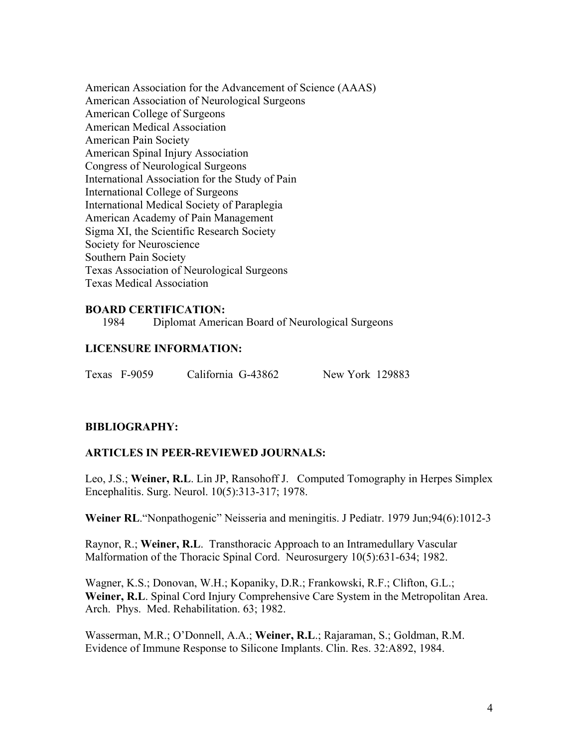American Association for the Advancement of Science (AAAS) American Association of Neurological Surgeons American College of Surgeons American Medical Association American Pain Society American Spinal Injury Association Congress of Neurological Surgeons International Association for the Study of Pain International College of Surgeons International Medical Society of Paraplegia American Academy of Pain Management Sigma XI, the Scientific Research Society Society for Neuroscience Southern Pain Society Texas Association of Neurological Surgeons Texas Medical Association

#### **BOARD CERTIFICATION:**

1984 Diplomat American Board of Neurological Surgeons

#### **LICENSURE INFORMATION:**

#### **BIBLIOGRAPHY:**

#### **ARTICLES IN PEER-REVIEWED JOURNALS:**

Leo, J.S.; **Weiner, R.L**. Lin JP, Ransohoff J. Computed Tomography in Herpes Simplex Encephalitis. Surg. Neurol. 10(5):313-317; 1978.

**Weiner RL**."Nonpathogenic" Neisseria and meningitis. J Pediatr. 1979 Jun;94(6):1012-3

Raynor, R.; **Weiner, R.L**. Transthoracic Approach to an Intramedullary Vascular Malformation of the Thoracic Spinal Cord. Neurosurgery 10(5):631-634; 1982.

Wagner, K.S.; Donovan, W.H.; Kopaniky, D.R.; Frankowski, R.F.; Clifton, G.L.; **Weiner, R.L**. Spinal Cord Injury Comprehensive Care System in the Metropolitan Area. Arch. Phys. Med. Rehabilitation. 63; 1982.

Wasserman, M.R.; O'Donnell, A.A.; **Weiner, R.L**.; Rajaraman, S.; Goldman, R.M. Evidence of Immune Response to Silicone Implants. Clin. Res. 32:A892, 1984.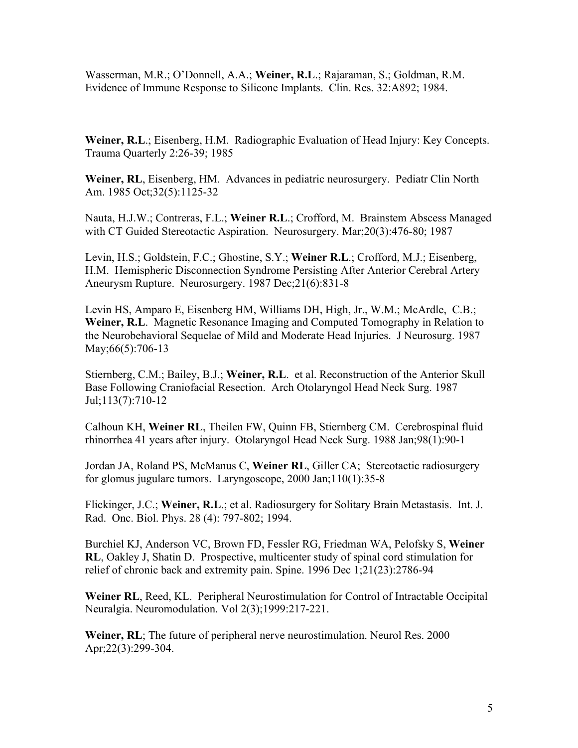Wasserman, M.R.; O'Donnell, A.A.; **Weiner, R.L**.; Rajaraman, S.; Goldman, R.M. Evidence of Immune Response to Silicone Implants. Clin. Res. 32:A892; 1984.

**Weiner, R.L**.; Eisenberg, H.M. Radiographic Evaluation of Head Injury: Key Concepts. Trauma Quarterly 2:26-39; 1985

**Weiner, RL**, Eisenberg, HM. Advances in pediatric neurosurgery. Pediatr Clin North Am. 1985 Oct;32(5):1125-32

Nauta, H.J.W.; Contreras, F.L.; **Weiner R.L**.; Crofford, M. Brainstem Abscess Managed with CT Guided Stereotactic Aspiration. Neurosurgery. Mar;20(3):476-80; 1987

Levin, H.S.; Goldstein, F.C.; Ghostine, S.Y.; **Weiner R.L**.; Crofford, M.J.; Eisenberg, H.M. Hemispheric Disconnection Syndrome Persisting After Anterior Cerebral Artery Aneurysm Rupture. Neurosurgery. 1987 Dec;21(6):831-8

Levin HS, Amparo E, Eisenberg HM, Williams DH, High, Jr., W.M.; McArdle, C.B.; **Weiner, R.L**. Magnetic Resonance Imaging and Computed Tomography in Relation to the Neurobehavioral Sequelae of Mild and Moderate Head Injuries. J Neurosurg. 1987 May; 66(5): 706-13

Stiernberg, C.M.; Bailey, B.J.; **Weiner, R.L**. et al. Reconstruction of the Anterior Skull Base Following Craniofacial Resection. Arch Otolaryngol Head Neck Surg. 1987 Jul;113(7):710-12

Calhoun KH, **Weiner RL**, Theilen FW, Quinn FB, Stiernberg CM. Cerebrospinal fluid rhinorrhea 41 years after injury. Otolaryngol Head Neck Surg. 1988 Jan;98(1):90-1

Jordan JA, Roland PS, McManus C, **Weiner RL**, Giller CA; Stereotactic radiosurgery for glomus jugulare tumors. Laryngoscope, 2000 Jan;110(1):35-8

Flickinger, J.C.; **Weiner, R.L**.; et al. Radiosurgery for Solitary Brain Metastasis. Int. J. Rad. Onc. Biol. Phys. 28 (4): 797-802; 1994.

Burchiel KJ, Anderson VC, Brown FD, Fessler RG, Friedman WA, Pelofsky S, **Weiner RL**, Oakley J, Shatin D. Prospective, multicenter study of spinal cord stimulation for relief of chronic back and extremity pain. Spine. 1996 Dec 1;21(23):2786-94

**Weiner RL**, Reed, KL. Peripheral Neurostimulation for Control of Intractable Occipital Neuralgia. Neuromodulation. Vol 2(3);1999:217-221.

**Weiner, RL**; The future of peripheral nerve neurostimulation. Neurol Res. 2000 Apr;22(3):299-304.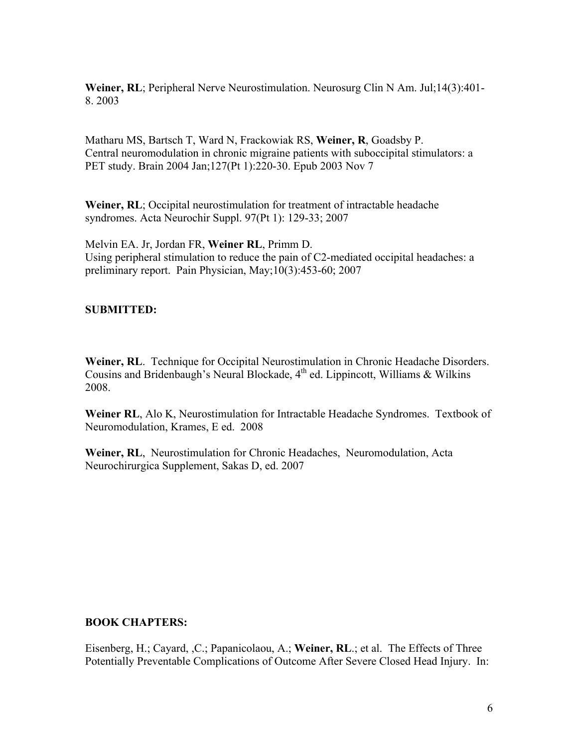**Weiner, RL**; Peripheral Nerve Neurostimulation. Neurosurg Clin N Am. Jul;14(3):401- 8. 2003

Matharu MS, Bartsch T, Ward N, Frackowiak RS, **Weiner, R**, Goadsby P. Central neuromodulation in chronic migraine patients with suboccipital stimulators: a PET study. Brain 2004 Jan;127(Pt 1):220-30. Epub 2003 Nov 7

**Weiner, RL**; Occipital neurostimulation for treatment of intractable headache syndromes. Acta Neurochir Suppl. 97(Pt 1): 129-33; 2007

Melvin EA. Jr, Jordan FR, **Weiner RL**, Primm D. Using peripheral stimulation to reduce the pain of C2-mediated occipital headaches: a preliminary report. Pain Physician, May;10(3):453-60; 2007

### **SUBMITTED:**

**Weiner, RL**. Technique for Occipital Neurostimulation in Chronic Headache Disorders. Cousins and Bridenbaugh's Neural Blockade,  $4<sup>th</sup>$  ed. Lippincott, Williams & Wilkins 2008.

**Weiner RL**, Alo K, Neurostimulation for Intractable Headache Syndromes. Textbook of Neuromodulation, Krames, E ed. 2008

**Weiner, RL**, Neurostimulation for Chronic Headaches, Neuromodulation, Acta Neurochirurgica Supplement, Sakas D, ed. 2007

#### **BOOK CHAPTERS:**

Eisenberg, H.; Cayard, ,C.; Papanicolaou, A.; **Weiner, RL**.; et al. The Effects of Three Potentially Preventable Complications of Outcome After Severe Closed Head Injury. In: